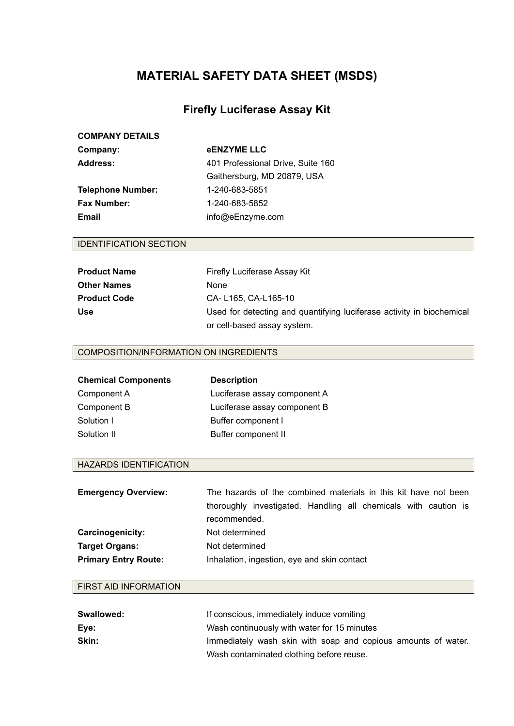# **MATERIAL SAFETY DATA SHEET (MSDS)**

# **Firefly Luciferase Assay Kit**

# **COMPANY DETAILS**

| Company:          | <b>eENZYME LLC</b>                |
|-------------------|-----------------------------------|
| Address:          | 401 Professional Drive, Suite 160 |
|                   | Gaithersburg, MD 20879, USA       |
| Telephone Number: | 1-240-683-5851                    |
| Fax Number:       | 1-240-683-5852                    |
| Email             | info@eEnzyme.com                  |
|                   |                                   |

## IDENTIFICATION SECTION

| <b>Product Name</b> | Firefly Luciferase Assay Kit                                          |
|---------------------|-----------------------------------------------------------------------|
| <b>Other Names</b>  | None                                                                  |
| <b>Product Code</b> | CA-L165, CA-L165-10                                                   |
| <b>Use</b>          | Used for detecting and quantifying luciferase activity in biochemical |
|                     | or cell-based assay system.                                           |

### COMPOSITION/INFORMATION ON INGREDIENTS

| <b>Chemical Components</b> | <b>Description</b>           |
|----------------------------|------------------------------|
| Component A                | Luciferase assay component A |
| Component B                | Luciferase assay component B |
| Solution I                 | Buffer component I           |
| Solution II                | Buffer component II          |

### HAZARDS IDENTIFICATION

| <b>Emergency Overview:</b>  | The hazards of the combined materials in this kit have not been |  |
|-----------------------------|-----------------------------------------------------------------|--|
|                             | thoroughly investigated. Handling all chemicals with caution is |  |
|                             | recommended.                                                    |  |
| Carcinogenicity:            | Not determined                                                  |  |
| <b>Target Organs:</b>       | Not determined                                                  |  |
| <b>Primary Entry Route:</b> | Inhalation, ingestion, eye and skin contact                     |  |

### FIRST AID INFORMATION

| Swallowed: | If conscious, immediately induce vomiting                     |
|------------|---------------------------------------------------------------|
| Eve:       | Wash continuously with water for 15 minutes                   |
| Skin:      | Immediately wash skin with soap and copious amounts of water. |
|            | Wash contaminated clothing before reuse.                      |